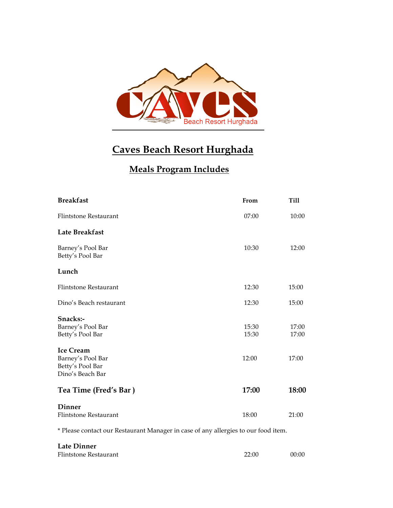

# **Caves Beach Resort Hurghada**

## **Meals Program Includes**

| <b>Breakfast</b>                                                      | From           | <b>Till</b>    |
|-----------------------------------------------------------------------|----------------|----------------|
| <b>Flintstone Restaurant</b>                                          | 07:00          | 10:00          |
| Late Breakfast                                                        |                |                |
| Barney's Pool Bar<br>Betty's Pool Bar                                 | 10:30          | 12:00          |
| Lunch                                                                 |                |                |
| <b>Flintstone Restaurant</b>                                          | 12:30          | 15:00          |
| Dino's Beach restaurant                                               | 12:30          | 15:00          |
| Snacks:-<br>Barney's Pool Bar<br>Betty's Pool Bar<br><b>Ice Cream</b> | 15:30<br>15:30 | 17:00<br>17:00 |
| Barney's Pool Bar<br>Betty's Pool Bar<br>Dino's Beach Bar             | 12:00          | 17:00          |
| Tea Time (Fred's Bar)                                                 | 17:00          | 18:00          |
| Dinner<br><b>Flintstone Restaurant</b>                                | 18:00          | 21:00          |

\* Please contact our Restaurant Manager in case of any allergies to our food item.

| Late Dinner           |       |       |
|-----------------------|-------|-------|
| Flintstone Restaurant | 22:00 | 00:00 |